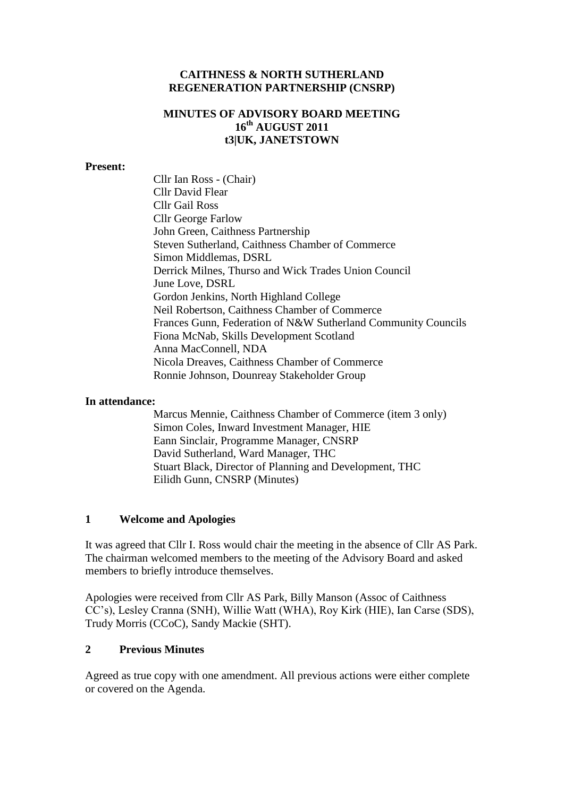### **CAITHNESS & NORTH SUTHERLAND REGENERATION PARTNERSHIP (CNSRP)**

## **MINUTES OF ADVISORY BOARD MEETING 16th AUGUST 2011 t3|UK, JANETSTOWN**

#### **Present:**

Cllr Ian Ross - (Chair) Cllr David Flear Cllr Gail Ross Cllr George Farlow John Green, Caithness Partnership Steven Sutherland, Caithness Chamber of Commerce Simon Middlemas, DSRL Derrick Milnes, Thurso and Wick Trades Union Council June Love, DSRL Gordon Jenkins, North Highland College Neil Robertson, Caithness Chamber of Commerce Frances Gunn, Federation of N&W Sutherland Community Councils Fiona McNab, Skills Development Scotland Anna MacConnell, NDA Nicola Dreaves, Caithness Chamber of Commerce Ronnie Johnson, Dounreay Stakeholder Group

#### **In attendance:**

Marcus Mennie, Caithness Chamber of Commerce (item 3 only) Simon Coles, Inward Investment Manager, HIE Eann Sinclair, Programme Manager, CNSRP David Sutherland, Ward Manager, THC Stuart Black, Director of Planning and Development, THC Eilidh Gunn, CNSRP (Minutes)

#### **1 Welcome and Apologies**

It was agreed that Cllr I. Ross would chair the meeting in the absence of Cllr AS Park. The chairman welcomed members to the meeting of the Advisory Board and asked members to briefly introduce themselves.

Apologies were received from Cllr AS Park, Billy Manson (Assoc of Caithness CC's), Lesley Cranna (SNH), Willie Watt (WHA), Roy Kirk (HIE), Ian Carse (SDS), Trudy Morris (CCoC), Sandy Mackie (SHT).

### **2 Previous Minutes**

Agreed as true copy with one amendment. All previous actions were either complete or covered on the Agenda.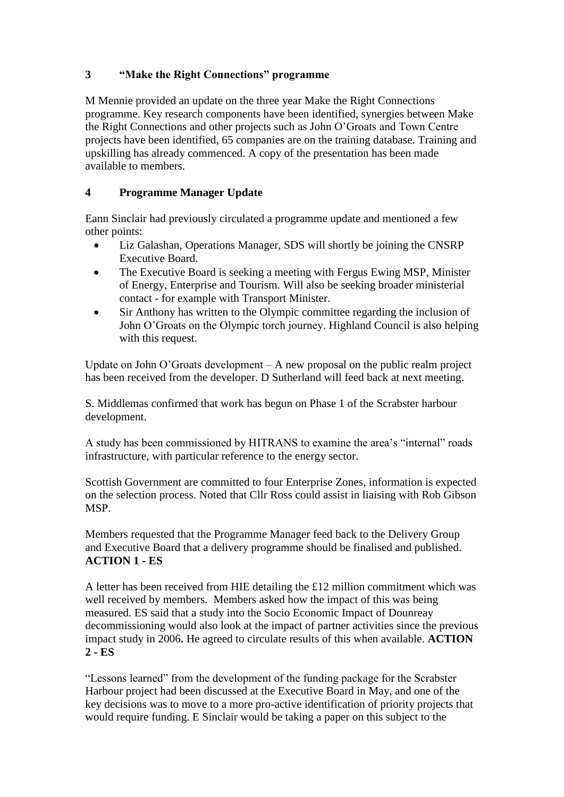# **3 "Make the Right Connections" programme**

M Mennie provided an update on the three year Make the Right Connections programme. Key research components have been identified, synergies between Make the Right Connections and other projects such as John O'Groats and Town Centre projects have been identified, 65 companies are on the training database. Training and upskilling has already commenced. A copy of the presentation has been made available to members.

# **4 Programme Manager Update**

Eann Sinclair had previously circulated a programme update and mentioned a few other points:

- Liz Galashan, Operations Manager, SDS will shortly be joining the CNSRP Executive Board.
- The Executive Board is seeking a meeting with Fergus Ewing MSP, Minister of Energy, Enterprise and Tourism. Will also be seeking broader ministerial contact - for example with Transport Minister.
- Sir Anthony has written to the Olympic committee regarding the inclusion of John O'Groats on the Olympic torch journey. Highland Council is also helping with this request.

Update on John O'Groats development – A new proposal on the public realm project has been received from the developer. D Sutherland will feed back at next meeting.

S. Middlemas confirmed that work has begun on Phase 1 of the Scrabster harbour development.

A study has been commissioned by HITRANS to examine the area's "internal" roads infrastructure, with particular reference to the energy sector.

Scottish Government are committed to four Enterprise Zones, information is expected on the selection process. Noted that Cllr Ross could assist in liaising with Rob Gibson MSP.

Members requested that the Programme Manager feed back to the Delivery Group and Executive Board that a delivery programme should be finalised and published. **ACTION 1 - ES**

A letter has been received from HIE detailing the £12 million commitment which was well received by members. Members asked how the impact of this was being measured. ES said that a study into the Socio Economic Impact of Dounreay decommissioning would also look at the impact of partner activities since the previous impact study in 2006**.** He agreed to circulate results of this when available. **ACTION 2 - ES**

"Lessons learned" from the development of the funding package for the Scrabster Harbour project had been discussed at the Executive Board in May, and one of the key decisions was to move to a more pro-active identification of priority projects that would require funding. E Sinclair would be taking a paper on this subject to the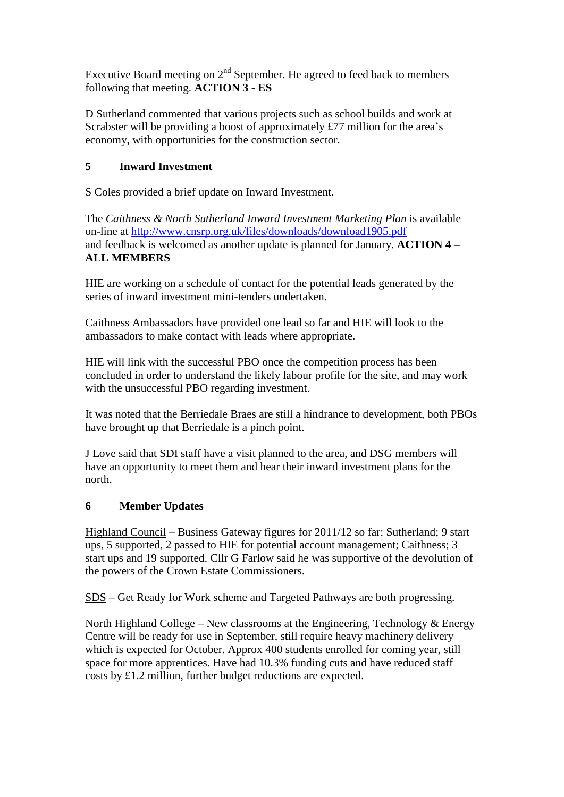Executive Board meeting on  $2<sup>nd</sup>$  September. He agreed to feed back to members following that meeting. **ACTION 3 - ES**

D Sutherland commented that various projects such as school builds and work at Scrabster will be providing a boost of approximately £77 million for the area's economy, with opportunities for the construction sector.

## **5 Inward Investment**

S Coles provided a brief update on Inward Investment.

The *Caithness & North Sutherland Inward Investment Marketing Plan* is available on-line at<http://www.cnsrp.org.uk/files/downloads/download1905.pdf> and feedback is welcomed as another update is planned for January. **ACTION 4 – ALL MEMBERS**

HIE are working on a schedule of contact for the potential leads generated by the series of inward investment mini-tenders undertaken.

Caithness Ambassadors have provided one lead so far and HIE will look to the ambassadors to make contact with leads where appropriate.

HIE will link with the successful PBO once the competition process has been concluded in order to understand the likely labour profile for the site, and may work with the unsuccessful PBO regarding investment.

It was noted that the Berriedale Braes are still a hindrance to development, both PBOs have brought up that Berriedale is a pinch point.

J Love said that SDI staff have a visit planned to the area, and DSG members will have an opportunity to meet them and hear their inward investment plans for the north.

### **6 Member Updates**

Highland Council – Business Gateway figures for 2011/12 so far: Sutherland; 9 start ups, 5 supported, 2 passed to HIE for potential account management; Caithness; 3 start ups and 19 supported. Cllr G Farlow said he was supportive of the devolution of the powers of the Crown Estate Commissioners.

SDS – Get Ready for Work scheme and Targeted Pathways are both progressing.

North Highland College – New classrooms at the Engineering, Technology & Energy Centre will be ready for use in September, still require heavy machinery delivery which is expected for October. Approx 400 students enrolled for coming year, still space for more apprentices. Have had 10.3% funding cuts and have reduced staff costs by £1.2 million, further budget reductions are expected.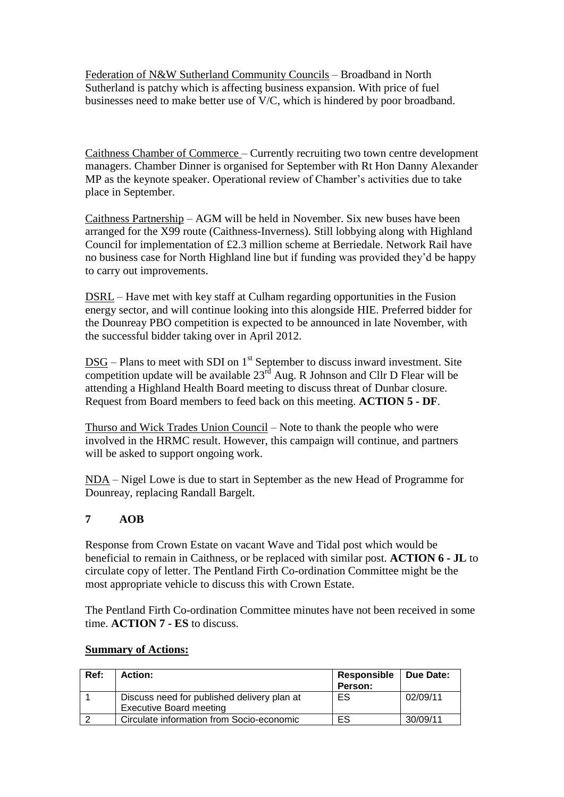Federation of N&W Sutherland Community Councils – Broadband in North Sutherland is patchy which is affecting business expansion. With price of fuel businesses need to make better use of V/C, which is hindered by poor broadband.

Caithness Chamber of Commerce – Currently recruiting two town centre development managers. Chamber Dinner is organised for September with Rt Hon Danny Alexander MP as the keynote speaker. Operational review of Chamber's activities due to take place in September.

Caithness Partnership – AGM will be held in November. Six new buses have been arranged for the X99 route (Caithness-Inverness). Still lobbying along with Highland Council for implementation of £2.3 million scheme at Berriedale. Network Rail have no business case for North Highland line but if funding was provided they'd be happy to carry out improvements.

DSRL – Have met with key staff at Culham regarding opportunities in the Fusion energy sector, and will continue looking into this alongside HIE. Preferred bidder for the Dounreay PBO competition is expected to be announced in late November, with the successful bidder taking over in April 2012.

 $DSG$  – Plans to meet with SDI on  $1<sup>st</sup>$  September to discuss inward investment. Site competition update will be available  $23<sup>rd</sup>$  Aug. R Johnson and Cllr D Flear will be attending a Highland Health Board meeting to discuss threat of Dunbar closure. Request from Board members to feed back on this meeting. **ACTION 5 - DF**.

Thurso and Wick Trades Union Council – Note to thank the people who were involved in the HRMC result. However, this campaign will continue, and partners will be asked to support ongoing work.

NDA – Nigel Lowe is due to start in September as the new Head of Programme for Dounreay, replacing Randall Bargelt.

# **7 AOB**

Response from Crown Estate on vacant Wave and Tidal post which would be beneficial to remain in Caithness, or be replaced with similar post. **ACTION 6 - JL** to circulate copy of letter. The Pentland Firth Co-ordination Committee might be the most appropriate vehicle to discuss this with Crown Estate.

The Pentland Firth Co-ordination Committee minutes have not been received in some time. **ACTION 7 - ES** to discuss.

| Ref: | <b>Action:</b>                              | Responsible   Due Date: |          |
|------|---------------------------------------------|-------------------------|----------|
|      |                                             | Person:                 |          |
|      | Discuss need for published delivery plan at | ES                      | 02/09/11 |
|      | <b>Executive Board meeting</b>              |                         |          |
|      | Circulate information from Socio-economic   | ES                      | 30/09/11 |

### **Summary of Actions:**